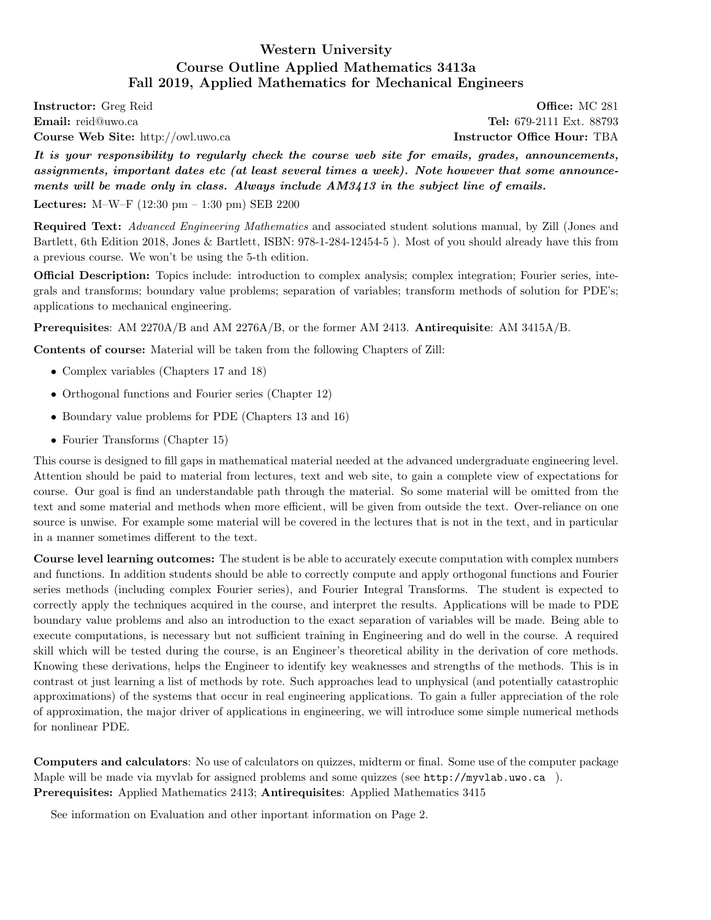# Western University Course Outline Applied Mathematics 3413a Fall 2019, Applied Mathematics for Mechanical Engineers

<span id="page-0-0"></span>**Instructor:** Greg Reid **Construction** Construction Construction Construction Construction Construction Construction Construction Construction Construction Construction Construction Construction Construction Construction C Email: reid@uwo.ca Tel: 679-2111 Ext. 88793 Course Web Site: http://owl.uwo.ca Instructor Office Hour: TBA

It is your responsibility to regularly check the course web site for emails, grades, announcements, assignments, important dates etc (at least several times a week). Note however that some announcements will be made only in class. Always include  $AM3413$  in the subject line of emails.

Lectures: M–W–F  $(12:30 \text{ pm} - 1:30 \text{ pm})$  SEB 2200

Required Text: Advanced Engineering Mathematics and associated student solutions manual, by Zill (Jones and Bartlett, 6th Edition 2018, Jones & Bartlett, ISBN: 978-1-284-12454-5 ). Most of you should already have this from a previous course. We won't be using the 5-th edition.

Official Description: Topics include: introduction to complex analysis; complex integration; Fourier series, integrals and transforms; boundary value problems; separation of variables; transform methods of solution for PDE's; applications to mechanical engineering.

Prerequisites: AM 2270A/B and AM 2276A/B, or the former AM 2413. Antirequisite: AM 3415A/B.

Contents of course: Material will be taken from the following Chapters of Zill:

- Complex variables (Chapters 17 and 18)
- Orthogonal functions and Fourier series (Chapter 12)
- Boundary value problems for PDE (Chapters 13 and 16)
- Fourier Transforms (Chapter 15)

This course is designed to fill gaps in mathematical material needed at the advanced undergraduate engineering level. Attention should be paid to material from lectures, text and web site, to gain a complete view of expectations for course. Our goal is find an understandable path through the material. So some material will be omitted from the text and some material and methods when more efficient, will be given from outside the text. Over-reliance on one source is unwise. For example some material will be covered in the lectures that is not in the text, and in particular in a manner sometimes different to the text.

Course level learning outcomes: The student is be able to accurately execute computation with complex numbers and functions. In addition students should be able to correctly compute and apply orthogonal functions and Fourier series methods (including complex Fourier series), and Fourier Integral Transforms. The student is expected to correctly apply the techniques acquired in the course, and interpret the results. Applications will be made to PDE boundary value problems and also an introduction to the exact separation of variables will be made. Being able to execute computations, is necessary but not sufficient training in Engineering and do well in the course. A required skill which will be tested during the course, is an Engineer's theoretical ability in the derivation of core methods. Knowing these derivations, helps the Engineer to identify key weaknesses and strengths of the methods. This is in contrast ot just learning a list of methods by rote. Such approaches lead to unphysical (and potentially catastrophic approximations) of the systems that occur in real engineering applications. To gain a fuller appreciation of the role of approximation, the major driver of applications in engineering, we will introduce some simple numerical methods for nonlinear PDE.

Computers and calculators: No use of calculators on quizzes, midterm or final. Some use of the computer package Maple will be made via myvlab for assigned problems and some quizzes (see http://myvlab.uwo.ca ). Prerequisites: Applied Mathematics 2413; Antirequisites: Applied Mathematics 3415

See information on Evaluation and other inportant information on Page 2.